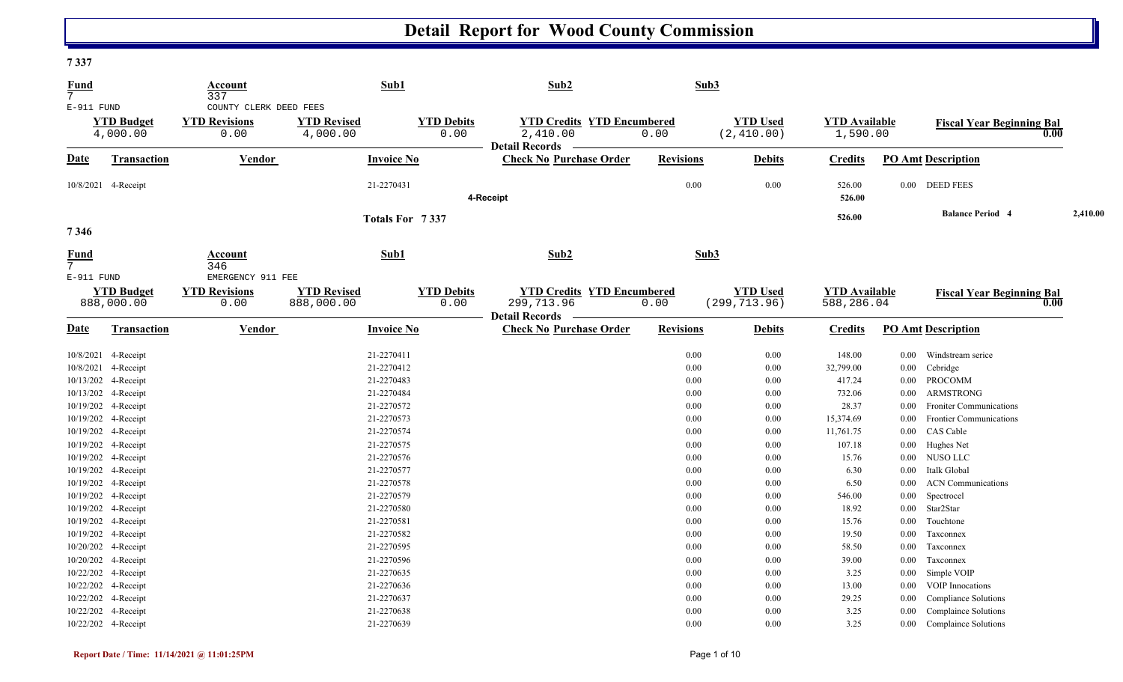#### **7 337**

| <b>Fund</b><br>7               |                                 | Account<br>337                                         |                                  | Sub1                      | Sub2                                                                     | Sub3             |                                  |                                    |          |                                          |          |
|--------------------------------|---------------------------------|--------------------------------------------------------|----------------------------------|---------------------------|--------------------------------------------------------------------------|------------------|----------------------------------|------------------------------------|----------|------------------------------------------|----------|
| E-911 FUND                     | <b>YTD Budget</b><br>4,000.00   | COUNTY CLERK DEED FEES<br><b>YTD Revisions</b><br>0.00 | <b>YTD Revised</b><br>4,000.00   | <b>YTD Debits</b><br>0.00 | <b>YTD Credits YTD Encumbered</b><br>2,410.00<br><b>Detail Records</b>   | 0.00             | <b>YTD Used</b><br>(2, 410.00)   | <b>YTD Available</b><br>1,590.00   |          | <b>Fiscal Year Beginning Bal</b><br>0.00 |          |
| <b>Date</b>                    | Transaction                     | Vendor                                                 |                                  | <b>Invoice No</b>         | <b>Check No Purchase Order</b>                                           | <b>Revisions</b> | <b>Debits</b>                    | <b>Credits</b>                     |          | <b>PO Amt Description</b>                |          |
|                                | 10/8/2021 4-Receipt             |                                                        |                                  | 21-2270431                | 4-Receipt                                                                | 0.00             | 0.00                             | 526.00<br>526.00                   |          | $0.00$ DEED FEES                         |          |
| 7346                           |                                 |                                                        |                                  | Totals For 7337           |                                                                          |                  |                                  | 526.00                             |          | <b>Balance Period 4</b>                  | 2,410.00 |
| <b>Fund</b><br>$7\overline{ }$ |                                 | <b>Account</b><br>346                                  |                                  | Sub1                      | Sub2                                                                     | Sub3             |                                  |                                    |          |                                          |          |
| E-911 FUND                     | <b>YTD Budget</b><br>888,000.00 | EMERGENCY 911 FEE<br><b>YTD Revisions</b><br>0.00      | <b>YTD Revised</b><br>888,000.00 | <b>YTD Debits</b><br>0.00 | <b>YTD Credits YTD Encumbered</b><br>299,713.96<br><b>Detail Records</b> | 0.00             | <b>YTD Used</b><br>(299, 713.96) | <b>YTD Available</b><br>588,286.04 |          | <b>Fiscal Year Beginning Bal</b><br>0.00 |          |
| Date                           | Transaction                     | <b>Vendor</b>                                          |                                  | <b>Invoice No</b>         | <b>Check No Purchase Order</b>                                           | <b>Revisions</b> | <b>Debits</b>                    | <b>Credits</b>                     |          | <b>PO Amt Description</b>                |          |
|                                | 10/8/2021 4-Receipt             |                                                        |                                  | 21-2270411                |                                                                          | 0.00             | 0.00                             | 148.00                             | $0.00\,$ | Windstream serice                        |          |
|                                | 10/8/2021 4-Receipt             |                                                        |                                  | 21-2270412                |                                                                          | 0.00             | 0.00                             | 32,799.00                          | $0.00\,$ | Cebridge                                 |          |
|                                | 10/13/202 4-Receipt             |                                                        |                                  | 21-2270483                |                                                                          | 0.00             | 0.00                             | 417.24                             | $0.00\,$ | PROCOMM                                  |          |
|                                | 10/13/202 4-Receipt             |                                                        |                                  | 21-2270484                |                                                                          | 0.00             | 0.00                             | 732.06                             | $0.00\,$ | ARMSTRONG                                |          |
|                                | 10/19/202 4-Receipt             |                                                        |                                  | 21-2270572                |                                                                          | 0.00             | 0.00                             | 28.37                              | 0.00     | <b>Froniter Communications</b>           |          |
|                                | 10/19/202 4-Receipt             |                                                        |                                  | 21-2270573                |                                                                          | 0.00             | 0.00                             | 15,374.69                          | 0.00     | <b>Frontier Communications</b>           |          |
|                                | 10/19/202 4-Receipt             |                                                        |                                  | 21-2270574                |                                                                          | 0.00             | 0.00                             | 11,761.75                          | $0.00\,$ | CAS Cable                                |          |
|                                | 10/19/202 4-Receipt             |                                                        |                                  | 21-2270575                |                                                                          | 0.00             | 0.00                             | 107.18                             | $0.00\,$ | Hughes Net                               |          |
|                                | 10/19/202 4-Receipt             |                                                        |                                  | 21-2270576                |                                                                          | 0.00             | 0.00                             | 15.76                              | $0.00\,$ | NUSO LLC                                 |          |
|                                | 10/19/202 4-Receipt             |                                                        |                                  | 21-2270577                |                                                                          | 0.00             | 0.00                             | 6.30                               | 0.00     | Italk Global                             |          |
|                                | 10/19/202 4-Receipt             |                                                        |                                  | 21-2270578                |                                                                          | 0.00             | 0.00                             | 6.50                               | $0.00\,$ | <b>ACN</b> Communications                |          |
|                                | 10/19/202 4-Receipt             |                                                        |                                  | 21-2270579                |                                                                          | 0.00             | 0.00                             | 546.00                             | 0.00     | Spectrocel                               |          |
|                                | 10/19/202 4-Receipt             |                                                        |                                  | 21-2270580                |                                                                          | 0.00             | 0.00                             | 18.92                              | $0.00\,$ | Star2Star                                |          |
|                                | 10/19/202 4-Receipt             |                                                        |                                  | 21-2270581                |                                                                          | 0.00             | 0.00                             | 15.76                              | $0.00\,$ | Touchtone                                |          |
|                                | 10/19/202 4-Receipt             |                                                        |                                  | 21-2270582                |                                                                          | 0.00             | 0.00                             | 19.50                              | 0.00     | Taxconnex                                |          |
|                                | 10/20/202 4-Receipt             |                                                        |                                  | 21-2270595                |                                                                          | 0.00             | 0.00                             | 58.50                              | $0.00\,$ | Taxconnex                                |          |
|                                | 10/20/202 4-Receipt             |                                                        |                                  | 21-2270596                |                                                                          | 0.00             | 0.00                             | 39.00                              | 0.00     | Taxconnex                                |          |
|                                | 10/22/202 4-Receipt             |                                                        |                                  | 21-2270635                |                                                                          | 0.00             | 0.00                             | 3.25                               | $0.00\,$ | Simple VOIP                              |          |
|                                | 10/22/202 4-Receipt             |                                                        |                                  | 21-2270636                |                                                                          | 0.00             | 0.00                             | 13.00                              | 0.00     | <b>VOIP</b> Innocations                  |          |
|                                | 10/22/202 4-Receipt             |                                                        |                                  | 21-2270637                |                                                                          | 0.00             | 0.00                             | 29.25                              | $0.00\,$ | Compliance Solutions                     |          |
|                                | 10/22/202 4-Receipt             |                                                        |                                  | 21-2270638                |                                                                          | 0.00             | 0.00                             | 3.25                               | $0.00\,$ | <b>Complaince Solutions</b>              |          |
|                                | 10/22/202 4-Receipt             |                                                        |                                  | 21-2270639                |                                                                          | 0.00             | 0.00                             | 3.25                               | $0.00\,$ | Complaince Solutions                     |          |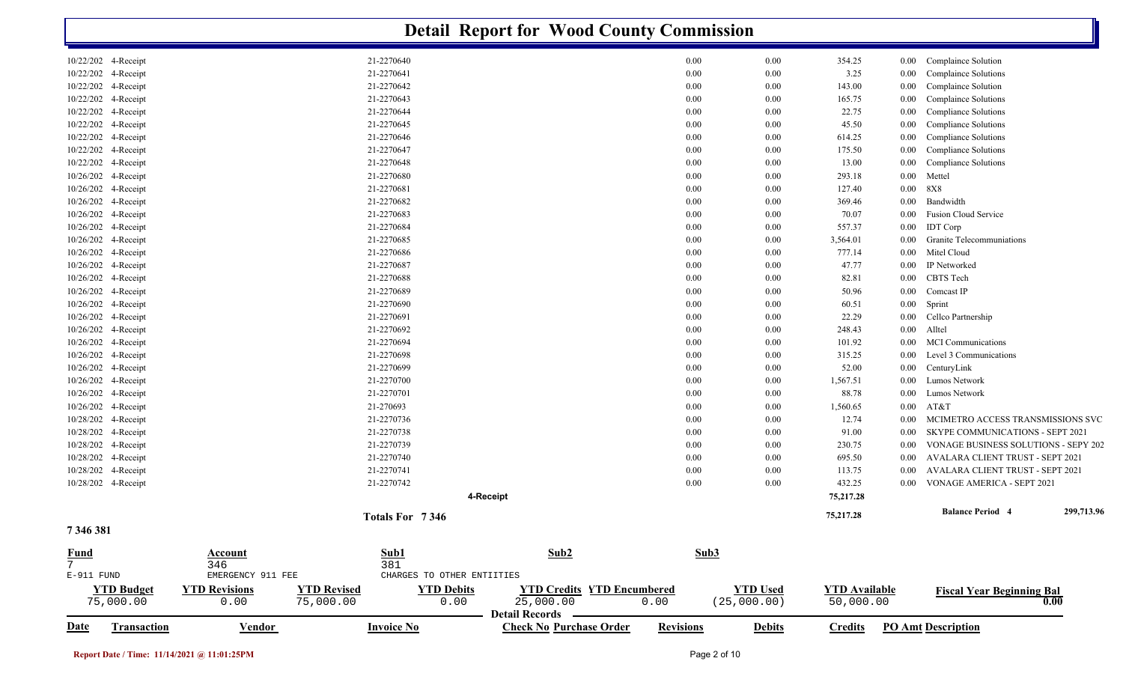|                                            |                                            |                            | <b>Detail Report for Wood County Commission</b> |                  |                 |                      |          |                                                                |            |
|--------------------------------------------|--------------------------------------------|----------------------------|-------------------------------------------------|------------------|-----------------|----------------------|----------|----------------------------------------------------------------|------------|
| 10/22/202 4-Receipt                        |                                            | 21-2270640                 |                                                 | 0.00             | 0.00            | 354.25               | $0.00\,$ | Complaince Solution                                            |            |
| 10/22/202 4-Receipt                        |                                            | 21-2270641                 |                                                 | 0.00             | 0.00            | 3.25                 | 0.00     | Complaince Solutions                                           |            |
| 10/22/202 4-Receipt                        |                                            | 21-2270642                 |                                                 | 0.00             | 0.00            | 143.00               | 0.00     | Complaince Solution                                            |            |
| 10/22/202 4-Receipt                        |                                            | 21-2270643                 |                                                 | 0.00             | 0.00            | 165.75               | 0.00     | Complaince Solutions                                           |            |
| 10/22/202 4-Receipt                        |                                            | 21-2270644                 |                                                 | 0.00             | 0.00            | 22.75                | 0.00     | Compliance Solutions                                           |            |
| 10/22/202 4-Receipt                        |                                            | 21-2270645                 |                                                 | 0.00             | 0.00            | 45.50                | 0.00     | Compliance Solutions                                           |            |
| 10/22/202 4-Receipt                        |                                            | 21-2270646                 |                                                 | 0.00             | 0.00            | 614.25               | 0.00     | Compliance Solutions                                           |            |
| 10/22/202 4-Receipt                        |                                            | 21-2270647                 |                                                 | 0.00             | 0.00            | 175.50               | 0.00     | Compliance Solutions                                           |            |
| 10/22/202 4-Receipt                        |                                            | 21-2270648                 |                                                 | 0.00             | 0.00            | 13.00                | $0.00\,$ | <b>Compliance Solutions</b>                                    |            |
| 10/26/202 4-Receipt                        |                                            | 21-2270680                 |                                                 | 0.00             | 0.00            | 293.18               | $0.00\,$ | Mettel                                                         |            |
| 10/26/202 4-Receipt                        |                                            | 21-2270681                 |                                                 | 0.00             | 0.00            | 127.40               | $0.00\,$ | <b>8X8</b>                                                     |            |
| 10/26/202 4-Receipt                        |                                            | 21-2270682                 |                                                 | 0.00             | 0.00            | 369.46               | 0.00     | Bandwidth                                                      |            |
| 10/26/202 4-Receipt                        |                                            | 21-2270683                 |                                                 | 0.00             | 0.00            | 70.07                | $0.00\,$ | Fusion Cloud Service                                           |            |
| 10/26/202 4-Receipt                        |                                            | 21-2270684                 |                                                 | 0.00             | 0.00            | 557.37               | $0.00\,$ | <b>IDT</b> Corp                                                |            |
| 10/26/202 4-Receipt                        |                                            | 21-2270685                 |                                                 | 0.00             | 0.00            | 3,564.01             | $0.00\,$ | <b>Granite Telecommuniations</b>                               |            |
| 10/26/202 4-Receipt                        |                                            | 21-2270686                 |                                                 | 0.00             | 0.00            | 777.14               | $0.00\,$ | Mitel Cloud                                                    |            |
| 10/26/202 4-Receipt                        |                                            | 21-2270687                 |                                                 | 0.00             | 0.00            | 47.77                | $0.00\,$ | IP Networked                                                   |            |
| 10/26/202 4-Receipt                        |                                            | 21-2270688                 |                                                 | 0.00             | 0.00            | 82.81                | $0.00\,$ | CBTS Tech                                                      |            |
| 10/26/202 4-Receipt                        |                                            | 21-2270689                 |                                                 | 0.00             | 0.00            | 50.96                | $0.00\,$ | Comcast IP                                                     |            |
| 10/26/202 4-Receipt                        |                                            | 21-2270690                 |                                                 | 0.00             | 0.00            | 60.51                | $0.00\,$ | Sprint                                                         |            |
| 10/26/202 4-Receipt                        |                                            | 21-2270691                 |                                                 | 0.00             | 0.00            | 22.29                | $0.00\,$ | Cellco Partnership                                             |            |
| 10/26/202 4-Receipt                        |                                            | 21-2270692                 |                                                 | 0.00             | 0.00            | 248.43               | 0.00     | Alltel                                                         |            |
| 10/26/202 4-Receipt                        |                                            | 21-2270694                 |                                                 | 0.00             | 0.00            | 101.92               | 0.00     | <b>MCI</b> Communications                                      |            |
| 10/26/202 4-Receipt                        |                                            | 21-2270698                 |                                                 | 0.00             | 0.00            | 315.25               | 0.00     | Level 3 Communications                                         |            |
| 10/26/202 4-Receipt                        |                                            | 21-2270699                 |                                                 | 0.00             | 0.00            | 52.00                | 0.00     | CenturyLink                                                    |            |
| 10/26/202 4-Receipt                        |                                            | 21-2270700                 |                                                 | 0.00             | 0.00            | 1,567.51             | $0.00\,$ | Lumos Network                                                  |            |
| 10/26/202 4-Receipt                        |                                            | 21-2270701                 |                                                 | 0.00             | 0.00            | 88.78                | $0.00\,$ | Lumos Network                                                  |            |
| 10/26/202 4-Receipt                        |                                            | 21-270693                  |                                                 | 0.00             | 0.00            | 1,560.65             | $0.00\,$ | AT&T                                                           |            |
| 10/28/202 4-Receipt                        |                                            | 21-2270736                 |                                                 | 0.00             | 0.00            | 12.74                | 0.00     | MCIMETRO ACCESS TRANSMISSIONS SVC                              |            |
| 10/28/202 4-Receipt                        |                                            | 21-2270738                 |                                                 | 0.00             | 0.00            | 91.00                | $0.00\,$ | SKYPE COMMUNICATIONS - SEPT 2021                               |            |
| 10/28/202 4-Receipt                        |                                            | 21-2270739                 |                                                 | 0.00             | 0.00            | 230.75               | 0.00     | VONAGE BUSINESS SOLUTIONS - SEPY 202                           |            |
| 10/28/202 4-Receipt<br>10/28/202 4-Receipt |                                            | 21-2270740                 |                                                 | 0.00             | 0.00            | 695.50               | 0.00     | AVALARA CLIENT TRUST - SEPT 2021                               |            |
|                                            |                                            | 21-2270741<br>21-2270742   |                                                 | 0.00<br>0.00     | 0.00<br>0.00    | 113.75               | $0.00\,$ | AVALARA CLIENT TRUST - SEPT 2021<br>VONAGE AMERICA - SEPT 2021 |            |
| 10/28/202 4-Receipt                        |                                            |                            | 4-Receipt                                       |                  |                 | 432.25<br>75,217.28  | $0.00\,$ |                                                                |            |
|                                            |                                            | Totals For 7346            |                                                 |                  |                 | 75,217.28            |          | <b>Balance Period 4</b>                                        | 299,713.96 |
| 7 346 381                                  |                                            |                            |                                                 |                  |                 |                      |          |                                                                |            |
|                                            | <b>Account</b>                             | Sub1                       | Sub2                                            | Sub3             |                 |                      |          |                                                                |            |
| $\frac{Fund}{7}$                           | 346                                        | 381                        |                                                 |                  |                 |                      |          |                                                                |            |
| $E-911$ FUND                               | EMERGENCY 911 FEE                          | CHARGES TO OTHER ENTIITIES |                                                 |                  |                 |                      |          |                                                                |            |
| <b>YTD Budget</b>                          | <b>YTD Revised</b><br><b>YTD Revisions</b> | <b>YTD Debits</b>          | <b>YTD Credits YTD Encumbered</b>               |                  | <b>YTD Used</b> | <b>YTD</b> Available |          | <b>Fiscal Year Beginning Bal</b>                               |            |
| 75,000.00                                  | 0.00<br>75,000.00                          | 0.00                       | 25,000.00<br>Detail Records -                   | 0.00             | (25,000.00)     | 50,000.00            |          | 0.00                                                           |            |
| <b>Date</b><br><b>Transaction</b>          | <b>Vendor</b>                              | <b>Invoice No</b>          | <b>Check No Purchase Order</b>                  | <b>Revisions</b> | <b>Debits</b>   | <b>Credits</b>       |          | <b>PO Amt Description</b>                                      |            |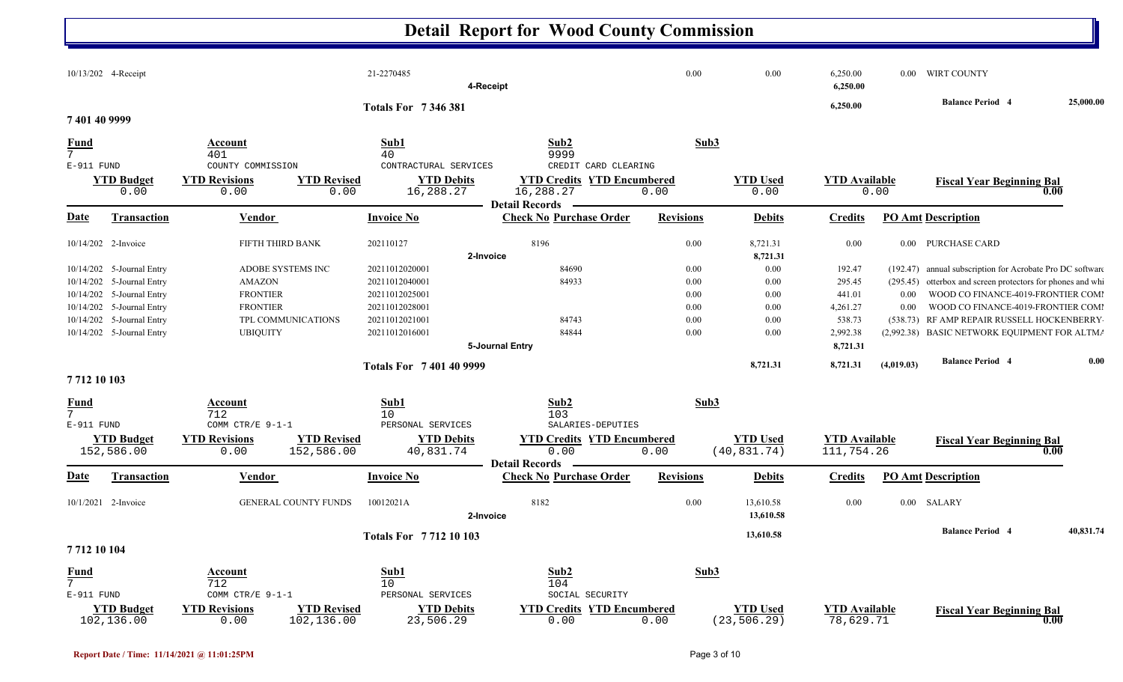|                                                     | 10/13/202 4-Receipt                                                                                                                                    |                                                                                                                   | 21-2270485                                                                                               | 4-Receipt                                                                                                       | 0.00                                         | 0.00                                         | 6,250.00<br>6,250.00                                         |                              | 0.00 WIRT COUNTY                                                                                                                                                                                                                                                                         |           |
|-----------------------------------------------------|--------------------------------------------------------------------------------------------------------------------------------------------------------|-------------------------------------------------------------------------------------------------------------------|----------------------------------------------------------------------------------------------------------|-----------------------------------------------------------------------------------------------------------------|----------------------------------------------|----------------------------------------------|--------------------------------------------------------------|------------------------------|------------------------------------------------------------------------------------------------------------------------------------------------------------------------------------------------------------------------------------------------------------------------------------------|-----------|
|                                                     |                                                                                                                                                        |                                                                                                                   | <b>Totals For 7346381</b>                                                                                |                                                                                                                 |                                              |                                              | 6,250.00                                                     |                              | <b>Balance Period 4</b>                                                                                                                                                                                                                                                                  | 25,000.00 |
| 7 401 40 9999                                       |                                                                                                                                                        |                                                                                                                   |                                                                                                          |                                                                                                                 |                                              |                                              |                                                              |                              |                                                                                                                                                                                                                                                                                          |           |
| Fund<br>7<br>$E-911$ FUND                           | <b>YTD Budget</b><br>0.00                                                                                                                              | Account<br>401<br>COUNTY COMMISSION<br><b>YTD Revisions</b><br><b>YTD Revised</b><br>0.00<br>0.00                 | Sub1<br>40<br>CONTRACTURAL SERVICES<br><b>YTD Debits</b><br>16,288.27                                    | Sub2<br>9999<br>CREDIT CARD CLEARING<br><b>YTD Credits YTD Encumbered</b><br>16,288.27<br><b>Detail Records</b> | Sub3<br>0.00                                 | <b>YTD Used</b><br>0.00                      | <b>YTD</b> Available                                         | 0.00                         | <b>Fiscal Year Beginning Bal</b><br>0.00                                                                                                                                                                                                                                                 |           |
| <b>Date</b>                                         | <b>Transaction</b>                                                                                                                                     | Vendor                                                                                                            | <b>Invoice No</b>                                                                                        | <b>Check No Purchase Order</b>                                                                                  | <b>Revisions</b>                             | <b>Debits</b>                                | <b>Credits</b>                                               |                              | <b>PO Amt Description</b>                                                                                                                                                                                                                                                                |           |
|                                                     | 10/14/202 2-Invoice                                                                                                                                    | FIFTH THIRD BANK                                                                                                  | 202110127                                                                                                | 8196<br>2-Invoice                                                                                               | 0.00                                         | 8,721.31<br>8,721.31                         | 0.00                                                         |                              | 0.00 PURCHASE CARD                                                                                                                                                                                                                                                                       |           |
| 10/14/202<br>10/14/202                              | 10/14/202 5-Journal Entry<br>5-Journal Entry<br>10/14/202 5-Journal Entry<br>10/14/202 5-Journal Entry<br>5-Journal Entry<br>10/14/202 5-Journal Entry | ADOBE SYSTEMS INC<br><b>AMAZON</b><br><b>FRONTIER</b><br><b>FRONTIER</b><br>TPL COMMUNICATIONS<br><b>UBIQUITY</b> | 20211012020001<br>20211012040001<br>20211012025001<br>20211012028001<br>20211012021001<br>20211012016001 | 84690<br>84933<br>84743<br>84844                                                                                | 0.00<br>0.00<br>0.00<br>0.00<br>0.00<br>0.00 | 0.00<br>0.00<br>0.00<br>0.00<br>0.00<br>0.00 | 192.47<br>295.45<br>441.01<br>4,261.27<br>538.73<br>2,992.38 | (295.45)<br>$0.00\,$<br>0.00 | (192.47) annual subscription for Acrobate Pro DC software<br>otterbox and screen protectors for phones and whi<br>WOOD CO FINANCE-4019-FRONTIER COMI<br>WOOD CO FINANCE-4019-FRONTIER COMI<br>(538.73) RF AMP REPAIR RUSSELL HOCKENBERRY<br>(2,992.38) BASIC NETWORK EQUIPMENT FOR ALTMA |           |
|                                                     |                                                                                                                                                        |                                                                                                                   | <b>Totals For 7401409999</b>                                                                             | 5-Journal Entry                                                                                                 |                                              | 8,721.31                                     | 8,721.31<br>8,721.31                                         | (4,019.03)                   | <b>Balance Period 4</b>                                                                                                                                                                                                                                                                  | 0.00      |
| 7712 10 103<br>Fund<br>$\overline{7}$<br>E-911 FUND |                                                                                                                                                        | Account<br>712<br>COMM CTR/E 9-1-1                                                                                | Sub1<br>10<br>PERSONAL SERVICES                                                                          | Sub2<br>103<br>SALARIES-DEPUTIES                                                                                | Sub3                                         |                                              |                                                              |                              |                                                                                                                                                                                                                                                                                          |           |
|                                                     | <b>YTD Budget</b><br>152,586.00                                                                                                                        | <b>YTD Revised</b><br><b>YTD Revisions</b><br>152,586.00<br>0.00                                                  | <b>YTD Debits</b><br>40,831.74                                                                           | <b>YTD Credits YTD Encumbered</b><br>0.00<br><b>Detail Records</b>                                              | 0.00                                         | <b>YTD Used</b><br>(40, 831.74)              | <b>YTD Available</b><br>111,754.26                           |                              | <b>Fiscal Year Beginning Bal</b><br>0.00                                                                                                                                                                                                                                                 |           |
| <u>Date</u>                                         | Transaction                                                                                                                                            | Vendor                                                                                                            | <b>Invoice No</b>                                                                                        | <b>Check No Purchase Order</b>                                                                                  | <b>Revisions</b>                             | <b>Debits</b>                                | <b>Credits</b>                                               |                              | <b>PO Amt Description</b>                                                                                                                                                                                                                                                                |           |
|                                                     | 10/1/2021 2-Invoice                                                                                                                                    | <b>GENERAL COUNTY FUNDS</b>                                                                                       | 10012021A                                                                                                | 8182<br>2-Invoice                                                                                               | 0.00                                         | 13,610.58<br>13,610.58                       | 0.00                                                         |                              | 0.00 SALARY                                                                                                                                                                                                                                                                              |           |
| 7712 10 104                                         |                                                                                                                                                        |                                                                                                                   | <b>Totals For 771210103</b>                                                                              |                                                                                                                 |                                              | 13,610.58                                    |                                                              |                              | <b>Balance Period 4</b>                                                                                                                                                                                                                                                                  | 40,831.74 |
| Fund<br>$7^{\circ}$<br>E-911 FUND                   | <b>YTD Budget</b><br>102,136.00                                                                                                                        | Account<br>712<br>COMM CTR/E 9-1-1<br><b>YTD Revisions</b><br><b>YTD Revised</b><br>102,136.00<br>0.00            | Sub1<br>10<br>PERSONAL SERVICES<br><b>YTD Debits</b><br>23,506.29                                        | Sub2<br>104<br>SOCIAL SECURITY<br><b>YTD Credits YTD Encumbered</b><br>0.00                                     | Sub3<br>0.00                                 | <b>YTD</b> Used<br>(23, 506.29)              | <b>YTD</b> Available<br>78,629.71                            |                              | <b>Fiscal Year Beginning Bal</b><br>0.00                                                                                                                                                                                                                                                 |           |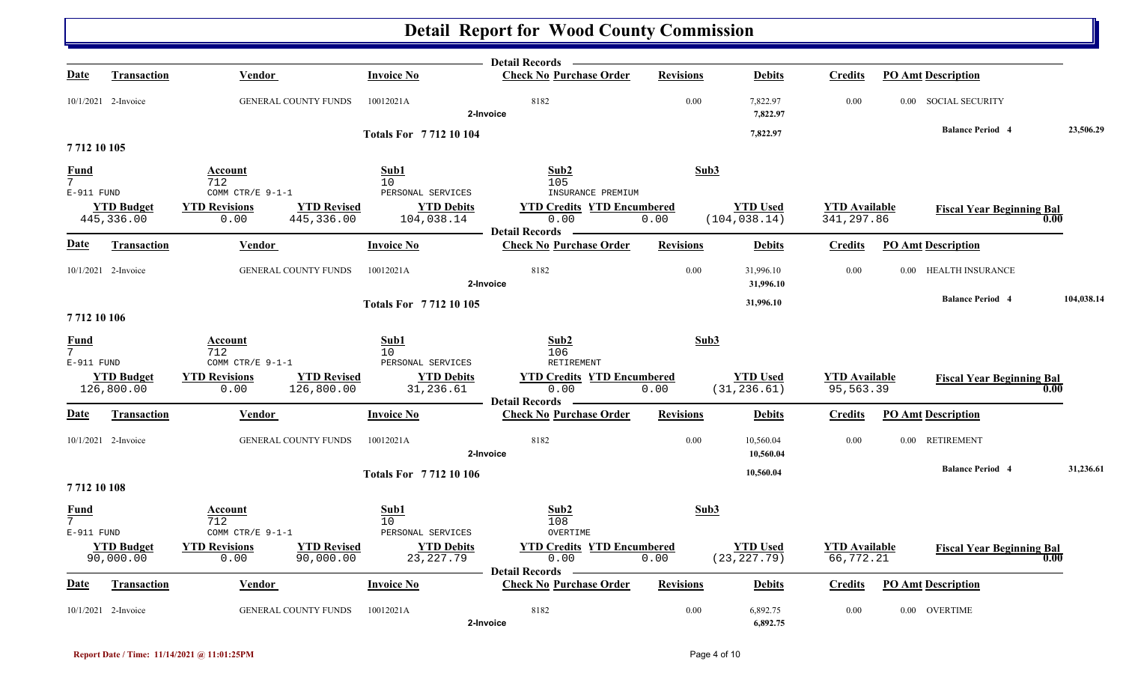|                                             |                                 |                                                                  |                                  | <b>Detail Records</b>                                              |                  |                                  |                                    |                                  |            |
|---------------------------------------------|---------------------------------|------------------------------------------------------------------|----------------------------------|--------------------------------------------------------------------|------------------|----------------------------------|------------------------------------|----------------------------------|------------|
| Date                                        | <b>Transaction</b>              | <b>Vendor</b>                                                    | <b>Invoice No</b>                | <b>Check No Purchase Order</b>                                     | <b>Revisions</b> | <b>Debits</b>                    | <b>Credits</b>                     | <b>PO Amt Description</b>        |            |
|                                             | 10/1/2021 2-Invoice             | <b>GENERAL COUNTY FUNDS</b>                                      | 10012021A                        | 8182<br>2-Invoice                                                  | 0.00             | 7,822.97<br>7,822.97             | 0.00                               | 0.00 SOCIAL SECURITY             |            |
|                                             |                                 |                                                                  | <b>Totals For 771210104</b>      |                                                                    |                  | 7,822.97                         |                                    | <b>Balance Period 4</b>          | 23,506.29  |
| 7712 10 105                                 |                                 |                                                                  |                                  |                                                                    |                  |                                  |                                    |                                  |            |
| Fund<br>$\overline{7}$<br>E-911 FUND        |                                 | Account<br>712<br>COMM CTR/E 9-1-1                               | Sub1<br>10<br>PERSONAL SERVICES  | Sub <sub>2</sub><br>105<br>INSURANCE PREMIUM                       | Sub3             |                                  |                                    |                                  |            |
|                                             | <b>YTD Budget</b><br>445,336.00 | <b>YTD Revisions</b><br><b>YTD Revised</b><br>445,336.00<br>0.00 | <b>YTD Debits</b><br>104,038.14  | <b>YTD Credits YTD Encumbered</b><br>0.00<br><b>Detail Records</b> | 0.00             | <b>YTD Used</b><br>(104, 038.14) | <b>YTD Available</b><br>341,297.86 | <b>Fiscal Year Beginning Bal</b> | 0.00       |
| <u>Date</u>                                 | Transaction                     | <b>Vendor</b>                                                    | <b>Invoice No</b>                | <b>Check No Purchase Order</b>                                     | <b>Revisions</b> | <b>Debits</b>                    | <b>Credits</b>                     | <b>PO Amt Description</b>        |            |
|                                             | 10/1/2021 2-Invoice             | <b>GENERAL COUNTY FUNDS</b>                                      | 10012021A                        | 8182<br>2-Invoice                                                  | 0.00             | 31,996.10<br>31,996.10           | 0.00                               | 0.00 HEALTH INSURANCE            |            |
| 7712 10 106                                 |                                 |                                                                  | <b>Totals For 771210105</b>      |                                                                    |                  | 31,996.10                        |                                    | <b>Balance Period 4</b>          | 104,038.14 |
| <b>Fund</b><br>$\overline{7}$<br>E-911 FUND |                                 | Account<br>712<br>COMM CTR/E 9-1-1                               | Sub1<br>10<br>PERSONAL SERVICES  | Sub2<br>106<br>RETIREMENT                                          | Sub3             |                                  |                                    |                                  |            |
|                                             | <b>YTD Budget</b><br>126,800.00 | <b>YTD Revisions</b><br><b>YTD Revised</b><br>126,800.00<br>0.00 | <b>YTD Debits</b><br>31,236.61   | <b>YTD Credits YTD Encumbered</b><br>0.00<br><b>Detail Records</b> | 0.00             | <b>YTD Used</b><br>(31, 236.61)  | <b>YTD Available</b><br>95,563.39  | <b>Fiscal Year Beginning Bal</b> | 0.00       |
| Date                                        | Transaction                     | <b>Vendor</b>                                                    | <b>Invoice No</b>                | <b>Check No Purchase Order</b>                                     | <b>Revisions</b> | <b>Debits</b>                    | <b>Credits</b>                     | <b>PO Amt Description</b>        |            |
|                                             | 10/1/2021 2-Invoice             | <b>GENERAL COUNTY FUNDS</b>                                      | 10012021A                        | 8182<br>2-Invoice                                                  | 0.00             | 10,560.04<br>10,560.04           | 0.00                               | 0.00 RETIREMENT                  |            |
| 7712 10 108                                 |                                 |                                                                  | <b>Totals For 771210106</b>      |                                                                    |                  | 10.560.04                        |                                    | <b>Balance Period 4</b>          | 31,236.61  |
| Fund<br>$7^{\circ}$<br>E-911 FUND           |                                 | Account<br>712<br>COMM CTR/E 9-1-1                               | Sub1<br>10<br>PERSONAL SERVICES  | Sub2<br>108<br>OVERTIME                                            | Sub3             |                                  |                                    |                                  |            |
|                                             | <b>YTD Budget</b><br>90,000.00  | <b>YTD Revised</b><br><b>YTD Revisions</b><br>0.00<br>90,000.00  | <b>YTD Debits</b><br>23, 227. 79 | <b>YTD Credits YTD Encumbered</b><br>0.00<br><b>Detail Records</b> | 0.00             | <b>YTD Used</b><br>(23, 227.79)  | <b>YTD Available</b><br>66,772.21  | <b>Fiscal Year Beginning Bal</b> | 0.00       |
| Date                                        | <b>Transaction</b>              | <b>Vendor</b>                                                    | <b>Invoice No</b>                | <b>Check No Purchase Order</b>                                     | <b>Revisions</b> | <b>Debits</b>                    | <b>Credits</b>                     | <b>PO Amt Description</b>        |            |
|                                             | 10/1/2021 2-Invoice             | <b>GENERAL COUNTY FUNDS</b>                                      | 10012021A                        | 8182<br>2-Invoice                                                  | 0.00             | 6,892.75<br>6,892.75             | 0.00                               | 0.00 OVERTIME                    |            |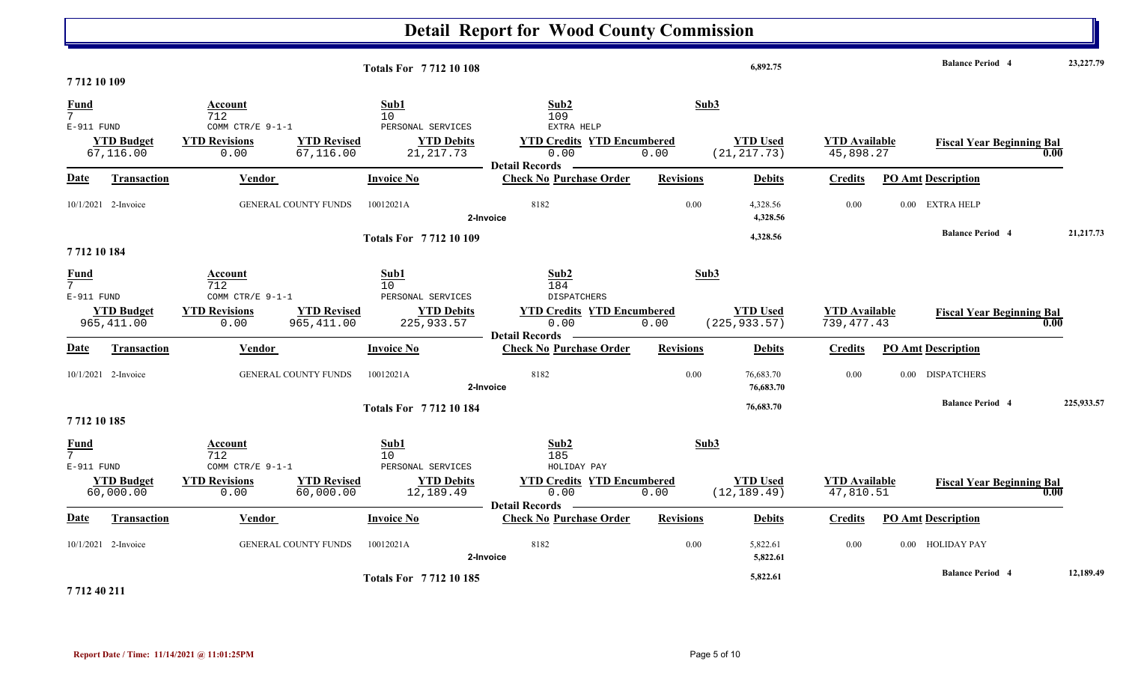|                                             |                                  |                                                  |                                   | <b>Totals For 771210108</b>                          |                                                                                  |                  | 6,892.75                         |                                      | <b>Balance Period 4</b>          |      | 23,227.79  |
|---------------------------------------------|----------------------------------|--------------------------------------------------|-----------------------------------|------------------------------------------------------|----------------------------------------------------------------------------------|------------------|----------------------------------|--------------------------------------|----------------------------------|------|------------|
| 7712 10 109                                 |                                  |                                                  |                                   |                                                      |                                                                                  |                  |                                  |                                      |                                  |      |            |
| <b>Fund</b><br>7 <sup>1</sup>               |                                  | Account<br>712                                   |                                   | Sub1<br>10                                           | Sub2<br>109                                                                      | Sub3             |                                  |                                      |                                  |      |            |
| E-911 FUND                                  | <b>YTD Budget</b><br>67,116.00   | COMM CTR/E 9-1-1<br><b>YTD Revisions</b><br>0.00 | <b>YTD Revised</b><br>67,116.00   | PERSONAL SERVICES<br><b>YTD Debits</b><br>21, 217.73 | EXTRA HELP<br><b>YTD Credits YTD Encumbered</b><br>0.00<br><b>Detail Records</b> | 0.00             | <b>YTD Used</b><br>(21, 217.73)  | <b>YTD Available</b><br>45,898.27    | <b>Fiscal Year Beginning Bal</b> | 0.00 |            |
| Date                                        | <b>Transaction</b>               | Vendor                                           |                                   | <b>Invoice No</b>                                    | <b>Check No Purchase Order</b>                                                   | <b>Revisions</b> | <b>Debits</b>                    | Credits                              | <b>PO Amt Description</b>        |      |            |
|                                             | 10/1/2021 2-Invoice              |                                                  | <b>GENERAL COUNTY FUNDS</b>       | 10012021A                                            | 8182<br>2-Invoice                                                                | 0.00             | 4,328.56<br>4,328.56             | 0.00                                 | 0.00 EXTRA HELP                  |      |            |
|                                             |                                  |                                                  |                                   | <b>Totals For 771210109</b>                          |                                                                                  |                  | 4,328.56                         |                                      | <b>Balance Period 4</b>          |      | 21,217.73  |
| 771210184                                   |                                  |                                                  |                                   |                                                      |                                                                                  |                  |                                  |                                      |                                  |      |            |
| <u>Fund</u><br>$7^{\circ}$<br>E-911 FUND    |                                  | Account<br>712<br>COMM CTR/E 9-1-1               |                                   | Sub1<br>10<br>PERSONAL SERVICES                      | Sub2<br>184<br><b>DISPATCHERS</b>                                                | Sub3             |                                  |                                      |                                  |      |            |
|                                             | <b>YTD Budget</b><br>965, 411.00 | <b>YTD Revisions</b><br>0.00                     | <b>YTD Revised</b><br>965, 411.00 | <b>YTD Debits</b><br>225,933.57                      | <b>YTD Credits YTD Encumbered</b><br>0.00<br><b>Detail Records</b>               | 0.00             | <b>YTD Used</b><br>(225, 933.57) | <b>YTD Available</b><br>739, 477. 43 | <b>Fiscal Year Beginning Bal</b> | 0.00 |            |
| Date                                        | <b>Transaction</b>               | Vendor                                           |                                   | <b>Invoice No</b>                                    | <b>Check No Purchase Order</b>                                                   | <b>Revisions</b> | <b>Debits</b>                    | <b>Credits</b>                       | <b>PO Amt Description</b>        |      |            |
|                                             | 10/1/2021 2-Invoice              |                                                  | <b>GENERAL COUNTY FUNDS</b>       | 10012021A                                            | 8182<br>2-Invoice                                                                | 0.00             | 76,683.70<br>76,683.70           | 0.00                                 | 0.00 DISPATCHERS                 |      |            |
|                                             |                                  |                                                  |                                   | <b>Totals For 771210184</b>                          |                                                                                  |                  | 76,683.70                        |                                      | <b>Balance Period 4</b>          |      | 225,933.57 |
| 7712 10 185                                 |                                  |                                                  |                                   |                                                      |                                                                                  |                  |                                  |                                      |                                  |      |            |
| <b>Fund</b><br>7 <sup>7</sup><br>E-911 FUND |                                  | Account<br>712<br>COMM CTR/E $9-1-1$             |                                   | Sub1<br>10<br>PERSONAL SERVICES                      | Sub2<br>185<br>HOLIDAY PAY                                                       | Sub3             |                                  |                                      |                                  |      |            |
|                                             | <b>YTD Budget</b><br>60,000.00   | <b>YTD Revisions</b><br>0.00                     | <b>YTD Revised</b><br>60,000.00   | <b>YTD Debits</b><br>12,189.49                       | <b>YTD Credits YTD Encumbered</b><br>0.00<br><b>Detail Records</b>               | 0.00             | <b>YTD Used</b><br>(12, 189.49)  | <b>YTD Available</b><br>47,810.51    | <b>Fiscal Year Beginning Bal</b> | 0.00 |            |
| Date                                        | Transaction                      | Vendor                                           |                                   | <b>Invoice No</b>                                    | <b>Check No Purchase Order</b>                                                   | <b>Revisions</b> | <b>Debits</b>                    | Credits                              | <b>PO Amt Description</b>        |      |            |
|                                             | 10/1/2021 2-Invoice              |                                                  | <b>GENERAL COUNTY FUNDS</b>       | 10012021A                                            | 8182<br>2-Invoice                                                                | 0.00             | 5,822.61<br>5,822.61             | 0.00                                 | 0.00 HOLIDAY PAY                 |      |            |
| $= 44.40.844$                               |                                  |                                                  |                                   | <b>Totals For 771210185</b>                          |                                                                                  |                  | 5,822.61                         |                                      | <b>Balance Period 4</b>          |      | 12,189.49  |

**7 712 40 211**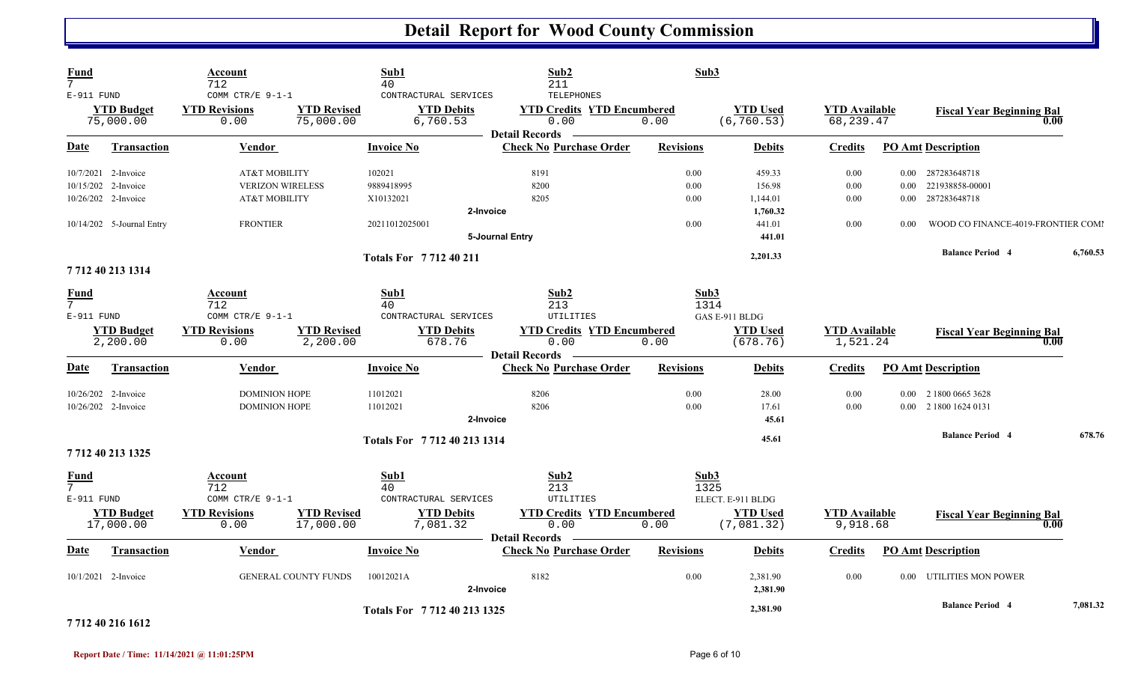| <b>Fund</b><br>$7\overline{ }$<br>E-911 FUND |                                                  | Account<br>712<br>COMM CTR/E 9-1-1                           | Sub1<br>40                               | Sub2<br>211<br><b>TELEPHONES</b><br>CONTRACTURAL SERVICES                                                          | Sub3             |                                      |                                   |                  |                                                    |          |
|----------------------------------------------|--------------------------------------------------|--------------------------------------------------------------|------------------------------------------|--------------------------------------------------------------------------------------------------------------------|------------------|--------------------------------------|-----------------------------------|------------------|----------------------------------------------------|----------|
|                                              | <b>YTD Budget</b><br>75,000.00                   | <b>YTD Revisions</b><br>0.00                                 | <b>YTD Revised</b><br>75,000.00          | <b>YTD Debits</b><br><b>YTD Credits YTD Encumbered</b><br>6,760.53<br>0.00                                         | 0.00             | <b>YTD Used</b><br>(6, 760.53)       | <b>YTD Available</b><br>68,239.47 |                  | <b>Fiscal Year Beginning Bal</b><br>0.00           |          |
| Date                                         | <b>Transaction</b>                               | Vendor                                                       | Invoice No                               | <b>Detail Records</b><br><b>Check No Purchase Order</b>                                                            | <b>Revisions</b> | <b>Debits</b>                        | <b>Credits</b>                    |                  | <b>PO Amt Description</b>                          |          |
|                                              | 10/7/2021 2-Invoice<br>10/15/202 2-Invoice       | <b>AT&amp;T MOBILITY</b><br><b>VERIZON WIRELESS</b>          | 102021<br>9889418995                     | 8191<br>8200                                                                                                       | 0.00<br>0.00     | 459.33<br>156.98                     | 0.00<br>0.00                      | 0.00<br>0.00     | 287283648718<br>221938858-00001                    |          |
|                                              | 10/26/202 2-Invoice<br>10/14/202 5-Journal Entry | <b>AT&amp;T MOBILITY</b><br><b>FRONTIER</b>                  | X10132021<br>20211012025001              | 8205<br>2-Invoice                                                                                                  | 0.00<br>0.00     | 1,144.01<br>1,760.32<br>441.01       | 0.00<br>0.00                      | $0.00\,$<br>0.00 | 287283648718<br>WOOD CO FINANCE-4019-FRONTIER COMI |          |
|                                              |                                                  |                                                              | Totals For 7712 40 211                   | 5-Journal Entry                                                                                                    |                  | 441.01<br>2,201.33                   |                                   |                  | <b>Balance Period 4</b>                            | 6,760.53 |
|                                              | 7712 40 213 1314                                 |                                                              |                                          |                                                                                                                    |                  |                                      |                                   |                  |                                                    |          |
| <b>Fund</b><br>$\overline{7}$<br>E-911 FUND  |                                                  | Account<br>712<br>COMM CTR/E 9-1-1                           | Sub1<br>40                               | Sub2<br>213<br>CONTRACTURAL SERVICES<br>UTILITIES                                                                  | Sub3<br>1314     | GAS E-911 BLDG                       |                                   |                  |                                                    |          |
|                                              | <b>YTD Budget</b><br>2,200.00                    | <b>YTD Revisions</b><br>0.00                                 | <b>YTD Revised</b><br>2,200.00           | <b>YTD Debits</b><br><b>YTD Credits YTD Encumbered</b><br>678.76<br>0.00                                           | 0.00             | <b>YTD Used</b><br>(678.76)          | <b>YTD Available</b><br>1,521.24  |                  | <b>Fiscal Year Beginning Bal</b><br>0.00           |          |
| Date                                         | <b>Transaction</b>                               | Vendor                                                       | <b>Invoice No</b>                        | <b>Detail Records</b><br><b>Check No Purchase Order</b>                                                            | <b>Revisions</b> | <b>Debits</b>                        | Credits                           |                  | <b>PO Amt Description</b>                          |          |
|                                              | 10/26/202 2-Invoice<br>10/26/202 2-Invoice       | <b>DOMINION HOPE</b><br><b>DOMINION HOPE</b>                 | 11012021<br>11012021                     | 8206<br>8206<br>2-Invoice                                                                                          | 0.00<br>0.00     | 28.00<br>17.61<br>45.61              | 0.00<br>0.00                      | 0.00             | 2 1800 0665 3628<br>0.00 2 1800 1624 0131          |          |
|                                              |                                                  |                                                              |                                          | Totals For 7712 40 213 1314                                                                                        |                  | 45.61                                |                                   |                  | <b>Balance Period 4</b>                            | 678.76   |
|                                              | 7712 40 213 1325                                 |                                                              |                                          |                                                                                                                    |                  |                                      |                                   |                  |                                                    |          |
| Fund<br>$7\overline{ }$<br>$E-911$ FUND      | <b>YTD</b> Budget                                | Account<br>712<br>COMM CTR/E $9-1-1$<br><b>YTD Revisions</b> | Sub1<br>40<br><b>YTD Revised</b>         | Sub2<br>213<br>CONTRACTURAL SERVICES<br><b>UTILITIES</b><br><b>YTD Debits</b><br><b>YTD Credits YTD Encumbered</b> | Sub3<br>1325     | ELECT. E-911 BLDG<br><b>YTD Used</b> | <b>YTD</b> Available              |                  | <b>Fiscal Year Beginning Bal</b>                   |          |
|                                              | 17,000.00                                        | 0.00                                                         | 17,000.00                                | 7,081.32<br>0.00<br><b>Detail Records</b>                                                                          | 0.00             | (7,081.32)                           | 9,918.68                          |                  | 0.00                                               |          |
| Date                                         | Transaction                                      | <b>Vendor</b>                                                | <b>Invoice No</b>                        | <b>Check No Purchase Order</b>                                                                                     | <b>Revisions</b> | <b>Debits</b>                        | Credits                           |                  | <b>PO Amt Description</b>                          |          |
|                                              | 10/1/2021 2-Invoice                              |                                                              | <b>GENERAL COUNTY FUNDS</b><br>10012021A | 8182<br>2-Invoice                                                                                                  | 0.00             | 2,381.90<br>2,381.90                 | 0.00                              | 0.00             | UTILITIES MON POWER                                |          |
|                                              |                                                  |                                                              |                                          | Totals For 7712 40 213 1325                                                                                        |                  | 2,381.90                             |                                   |                  | <b>Balance Period 4</b>                            | 7,081.32 |

#### **7 712 40 216 1612**

l,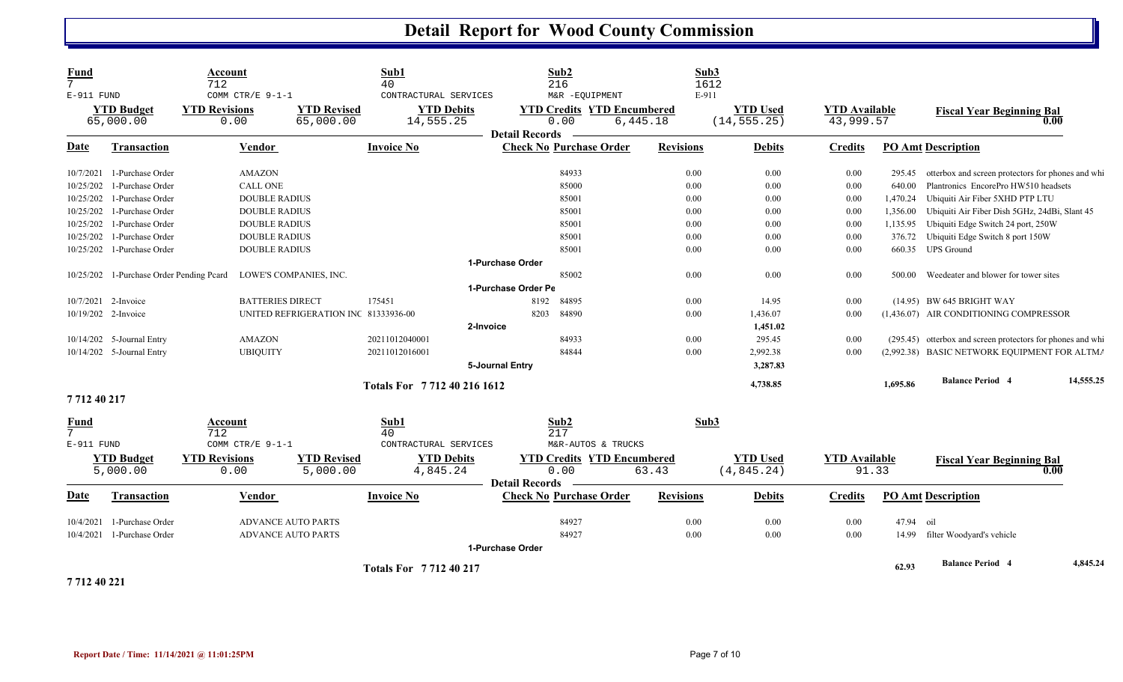| Fund<br>7               |                                          | Account<br>712                                   |                                      | Sub1<br>40                                              | Sub2<br>216                                                                          | Sub3<br>1612      |                                 |                                   |           |                                                              |           |
|-------------------------|------------------------------------------|--------------------------------------------------|--------------------------------------|---------------------------------------------------------|--------------------------------------------------------------------------------------|-------------------|---------------------------------|-----------------------------------|-----------|--------------------------------------------------------------|-----------|
| E-911 FUND              | <b>YTD Budget</b><br>65,000.00           | COMM CTR/E 9-1-1<br><b>YTD Revisions</b><br>0.00 | <b>YTD Revised</b><br>65,000.00      | CONTRACTURAL SERVICES<br><b>YTD Debits</b><br>14,555.25 | M&R -EQUIPMENT<br><b>YTD Credits YTD Encumbered</b><br>0.00<br><b>Detail Records</b> | E-911<br>6,445.18 | <b>YTD Used</b><br>(14, 555.25) | <b>YTD</b> Available<br>43,999.57 |           | <b>Fiscal Year Beginning Bal</b><br>0.00                     |           |
| <u>Date</u>             | <b>Transaction</b>                       | <b>Vendor</b>                                    |                                      | <b>Invoice No</b>                                       | <b>Check No Purchase Order</b>                                                       | <b>Revisions</b>  | <b>Debits</b>                   | <b>Credits</b>                    |           | <b>PO Amt Description</b>                                    |           |
| 10/7/2021               | 1-Purchase Order                         | <b>AMAZON</b>                                    |                                      |                                                         | 84933                                                                                | 0.00              | 0.00                            | 0.00                              | 295.45    | otterbox and screen protectors for phones and whi            |           |
| 10/25/202               | 1-Purchase Order                         | CALL ONE                                         |                                      |                                                         | 85000                                                                                | 0.00              | 0.00                            | 0.00                              | 640.00    | Plantronics EncorePro HW510 headsets                         |           |
| 10/25/202               | 1-Purchase Order                         | <b>DOUBLE RADIUS</b>                             |                                      |                                                         | 85001                                                                                | 0.00              | 0.00                            | 0.00                              | 1,470.24  | Ubiquiti Air Fiber 5XHD PTP LTU                              |           |
|                         | 10/25/202 1-Purchase Order               | <b>DOUBLE RADIUS</b>                             |                                      |                                                         | 85001                                                                                | 0.00              | 0.00                            | 0.00                              | 1,356.00  | Ubiquiti Air Fiber Dish 5GHz, 24dBi, Slant 45                |           |
|                         | 10/25/202 1-Purchase Order               | <b>DOUBLE RADIUS</b>                             |                                      |                                                         | 85001                                                                                | 0.00              | 0.00                            | 0.00                              | 1,135.95  | Ubiquiti Edge Switch 24 port, 250W                           |           |
| 10/25/202               | 1-Purchase Order                         | <b>DOUBLE RADIUS</b>                             |                                      |                                                         | 85001                                                                                | 0.00              | 0.00                            | 0.00                              | 376.72    | Ubiquiti Edge Switch 8 port 150W                             |           |
|                         | 10/25/202 1-Purchase Order               | <b>DOUBLE RADIUS</b>                             |                                      |                                                         | 85001                                                                                | 0.00              | 0.00                            | 0.00                              | 660.35    | <b>UPS</b> Ground                                            |           |
|                         |                                          |                                                  |                                      |                                                         | 1-Purchase Order                                                                     |                   |                                 |                                   |           |                                                              |           |
|                         | 10/25/202 1-Purchase Order Pending Peard |                                                  | LOWE'S COMPANIES, INC.               |                                                         | 85002                                                                                | 0.00              | 0.00                            | 0.00                              | 500.00    | Weedeater and blower for tower sites                         |           |
|                         |                                          |                                                  |                                      |                                                         | 1-Purchase Order Pe                                                                  |                   |                                 |                                   |           |                                                              |           |
|                         | 10/7/2021 2-Invoice                      | <b>BATTERIES DIRECT</b>                          |                                      | 175451                                                  | 8192<br>84895                                                                        | 0.00              | 14.95                           | 0.00                              |           | (14.95) BW 645 BRIGHT WAY                                    |           |
|                         | 10/19/202 2-Invoice                      |                                                  | UNITED REFRIGERATION INC 81333936-00 |                                                         | 8203<br>84890                                                                        | 0.00              | 1,436.07                        | 0.00                              |           | (1,436.07) AIR CONDITIONING COMPRESSOR                       |           |
|                         |                                          |                                                  |                                      | 2-Invoice                                               |                                                                                      |                   | 1,451.02                        |                                   |           |                                                              |           |
|                         | $10/14/202$ 5-Journal Entry              | <b>AMAZON</b>                                    |                                      | 20211012040001                                          | 84933                                                                                | 0.00              | 295.45                          | 0.00                              |           | (295.45) otterbox and screen protectors for phones and while |           |
|                         | 10/14/202 5-Journal Entry                | <b>UBIQUITY</b>                                  |                                      | 20211012016001                                          | 84844                                                                                | 0.00              | 2,992.38                        | 0.00                              |           | (2,992.38) BASIC NETWORK EQUIPMENT FOR ALTMA                 |           |
|                         |                                          |                                                  |                                      |                                                         | 5-Journal Entry                                                                      |                   | 3,287.83                        |                                   |           |                                                              |           |
|                         |                                          |                                                  |                                      | Totals For 7712 40 216 1612                             |                                                                                      |                   | 4,738.85                        |                                   | 1,695.86  | <b>Balance Period 4</b>                                      | 14,555.25 |
| 771240217               |                                          |                                                  |                                      |                                                         |                                                                                      |                   |                                 |                                   |           |                                                              |           |
| Fund<br>7<br>E-911 FUND |                                          | Account<br>712<br>COMM CTR/E 9-1-1               |                                      | Sub1<br>40<br>CONTRACTURAL SERVICES                     | Sub2<br>217<br>M&R-AUTOS & TRUCKS                                                    | Sub3              |                                 |                                   |           |                                                              |           |
|                         | <b>YTD Budget</b>                        | <b>YTD Revisions</b>                             | <b>YTD Revised</b>                   | <b>YTD Debits</b>                                       | <b>YTD Credits YTD Encumbered</b>                                                    |                   | <b>YTD Used</b>                 | <b>YTD Available</b>              |           | <b>Fiscal Year Beginning Bal</b>                             |           |
|                         | 5,000.00                                 | 0.00                                             | 5,000.00                             | 4,845.24                                                | 0.00                                                                                 | 63.43             | (4, 845.24)                     |                                   | 91.33     | 0.00                                                         |           |
| Date                    | Transaction                              | Vendor                                           |                                      | <b>Invoice No</b>                                       | <b>Detail Records</b><br><b>Check No Purchase Order</b>                              | <b>Revisions</b>  | <b>Debits</b>                   | <b>Credits</b>                    |           | <b>PO Amt Description</b>                                    |           |
| 10/4/2021               | 1-Purchase Order                         | <b>ADVANCE AUTO PARTS</b>                        |                                      |                                                         | 84927                                                                                | 0.00              | 0.00                            | 0.00                              | 47.94 oil |                                                              |           |
| 10/4/2021               | 1-Purchase Order                         | <b>ADVANCE AUTO PARTS</b>                        |                                      |                                                         | 84927                                                                                | 0.00              | 0.00                            | 0.00                              | 14.99     | filter Woodyard's vehicle                                    |           |
|                         |                                          |                                                  |                                      |                                                         | 1-Purchase Order                                                                     |                   |                                 |                                   |           |                                                              |           |
| 771210021               |                                          |                                                  |                                      | <b>Totals For 771240217</b>                             |                                                                                      |                   |                                 |                                   | 62.93     | <b>Balance Period 4</b>                                      | 4,845.24  |

**7 712 40 221**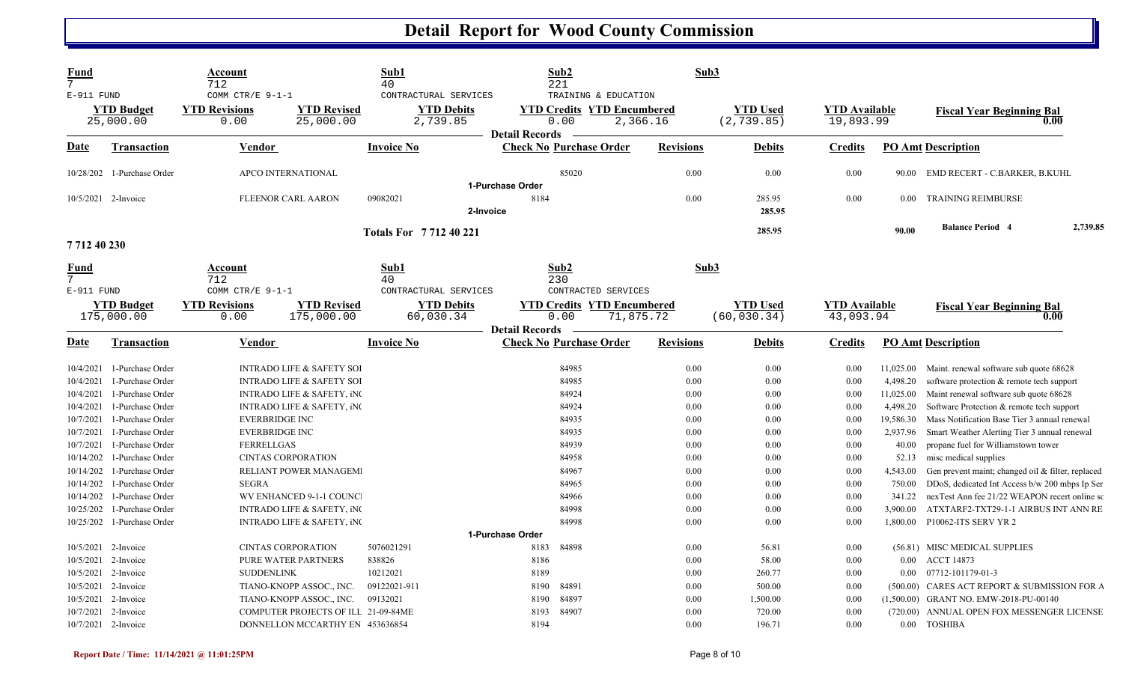| <b>Fund</b><br>7<br>E-911 FUND      |                                                                    | Account<br>712<br>COMM CTR/E 9-1-1             |                                                                                             | Sub1<br>40<br>CONTRACTURAL SERVICES |                       | Sub2<br>221<br>TRAINING & EDUCATION                    | Sub3                 |                                 |                                   |                                    |                                                                                                                                         |
|-------------------------------------|--------------------------------------------------------------------|------------------------------------------------|---------------------------------------------------------------------------------------------|-------------------------------------|-----------------------|--------------------------------------------------------|----------------------|---------------------------------|-----------------------------------|------------------------------------|-----------------------------------------------------------------------------------------------------------------------------------------|
|                                     | <b>YTD</b> Budget<br>25,000.00                                     | <b>YTD Revisions</b><br>0.00                   | <b>YTD Revised</b><br>25,000.00                                                             | <b>YTD Debits</b><br>2,739.85       | <b>Detail Records</b> | <b>YTD Credits YTD Encumbered</b><br>0.00              | 2,366.16             | <b>YTD Used</b><br>(2, 739.85)  | <b>YTD</b> Available<br>19,893.99 |                                    | <b>Fiscal Year Beginning Bal</b><br>0.00                                                                                                |
| Date                                | <b>Transaction</b>                                                 | Vendor                                         |                                                                                             | <b>Invoice No</b>                   |                       | <b>Check No Purchase Order</b>                         | <b>Revisions</b>     | <b>Debits</b>                   | <b>Credits</b>                    |                                    | <b>PO Amt Description</b>                                                                                                               |
|                                     | 10/28/202 1-Purchase Order                                         | APCO INTERNATIONAL                             |                                                                                             |                                     | 1-Purchase Order      | 85020                                                  | 0.00                 | 0.00                            | 0.00                              | 90.00                              | EMD RECERT - C.BARKER, B.KUHL                                                                                                           |
| 10/5/2021 2-Invoice                 |                                                                    | <b>FLEENOR CARL AARON</b>                      |                                                                                             | 09082021<br>2-Invoice               | 8184                  |                                                        | 0.00                 | 285.95<br>285.95                | 0.00                              | 0.00                               | <b>TRAINING REIMBURSE</b>                                                                                                               |
| 771240230                           |                                                                    |                                                |                                                                                             | <b>Totals For 771240221</b>         |                       |                                                        |                      | 285.95                          |                                   | 90.00                              | <b>Balance Period 4</b><br>2,739.85                                                                                                     |
| <u>Fund</u><br>7<br>E-911 FUND      |                                                                    | Account<br>712<br>COMM CTR/E 9-1-1             |                                                                                             | Sub1<br>40<br>CONTRACTURAL SERVICES |                       | Sub2<br>230<br>CONTRACTED SERVICES                     | Sub3                 |                                 |                                   |                                    |                                                                                                                                         |
|                                     | <b>YTD Budget</b><br>175,000.00                                    | <b>YTD Revisions</b><br>0.00                   | <b>YTD Revised</b><br>175,000.00                                                            | <b>YTD Debits</b><br>60,030.34      | <b>Detail Records</b> | <b>YTD Credits YTD Encumbered</b><br>0.00<br>71,875.72 |                      | <b>YTD Used</b><br>(60, 030.34) | <b>YTD</b> Available<br>43,093.94 |                                    | <b>Fiscal Year Beginning Bal</b><br>0.00                                                                                                |
| Date                                | <b>Transaction</b>                                                 | Vendor                                         |                                                                                             | <b>Invoice No</b>                   |                       | <b>Check No Purchase Order</b>                         | <b>Revisions</b>     | <b>Debits</b>                   | <b>Credits</b>                    |                                    | <b>PO Amt Description</b>                                                                                                               |
| 10/4/2021<br>10/4/2021              | 1-Purchase Order<br>1-Purchase Order                               |                                                | <b>INTRADO LIFE &amp; SAFETY SOI</b><br><b>INTRADO LIFE &amp; SAFETY SOI</b>                |                                     |                       | 84985<br>84985                                         | 0.00<br>0.00         | 0.00<br>0.00                    | 0.00<br>0.00                      | 11,025.00<br>4,498.20              | Maint. renewal software sub quote 68628<br>software protection & remote tech support                                                    |
| 10/4/2021<br>10/4/2021<br>10/7/2021 | 1-Purchase Order<br>1-Purchase Order<br>1-Purchase Order           | <b>EVERBRIDGE INC</b>                          | <b>INTRADO LIFE &amp; SAFETY, INC</b><br>INTRADO LIFE & SAFETY, iNC                         |                                     |                       | 84924<br>84924<br>84935                                | 0.00<br>0.00<br>0.00 | 0.00<br>0.00<br>0.00            | 0.00<br>0.00<br>0.00              | 11,025.00<br>4,498.20<br>19,586.30 | Maint renewal software sub quote 68628<br>Software Protection & remote tech support<br>Mass Notification Base Tier 3 annual renewal     |
| 10/7/2021<br>10/7/2021              | 1-Purchase Order<br>1-Purchase Order                               | <b>EVERBRIDGE INC</b><br><b>FERRELLGAS</b>     |                                                                                             |                                     |                       | 84935<br>84939                                         | 0.00<br>0.00         | 0.00<br>0.00                    | 0.00<br>0.00                      | 2,937.96<br>40.00                  | Smart Weather Alerting Tier 3 annual renewal<br>propane fuel for Williamstown tower                                                     |
| 10/14/202                           | 1-Purchase Order<br>10/14/202 1-Purchase Order                     | <b>CINTAS CORPORATION</b>                      | RELIANT POWER MANAGEM                                                                       |                                     |                       | 84958<br>84967                                         | 0.00<br>0.00         | 0.00<br>0.00                    | 0.00<br>0.00                      | 52.13<br>4,543.00                  | misc medical supplies<br>Gen prevent maint; changed oil & filter, replaced                                                              |
| 10/14/202<br>10/25/202              | 10/14/202 1-Purchase Order<br>1-Purchase Order<br>1-Purchase Order | <b>SEGRA</b>                                   | WV ENHANCED 9-1-1 COUNC.<br><b>INTRADO LIFE &amp; SAFETY, INC</b>                           |                                     |                       | 84965<br>84966<br>84998                                | 0.00<br>0.00<br>0.00 | 0.00<br>0.00<br>0.00            | 0.00<br>0.00<br>0.00              | 750.00<br>341.22<br>3,900.00       | DDoS, dedicated Int Access b/w 200 mbps Ip Ser<br>nexTest Ann fee 21/22 WEAPON recert online so<br>ATXTARF2-TXT29-1-1 AIRBUS INT ANN RE |
|                                     | 10/25/202 1-Purchase Order                                         |                                                | <b>INTRADO LIFE &amp; SAFETY, INC</b>                                                       |                                     | 1-Purchase Order      | 84998                                                  | 0.00                 | 0.00                            | 0.00                              | 1,800.00                           | P10062-ITS SERV YR 2                                                                                                                    |
|                                     | 10/5/2021 2-Invoice<br>10/5/2021 2-Invoice<br>10/5/2021 2-Invoice  | <b>CINTAS CORPORATION</b><br><b>SUDDENLINK</b> | PURE WATER PARTNERS                                                                         | 5076021291<br>838826<br>10212021    | 8183<br>8186<br>8189  | 84898                                                  | 0.00<br>0.00<br>0.00 | 56.81<br>58.00<br>260.77        | 0.00<br>0.00<br>0.00              | $0.00\,$<br>$0.00\,$               | (56.81) MISC MEDICAL SUPPLIES<br>ACCT 14873<br>07712-101179-01-3                                                                        |
| 10/7/2021                           | 10/5/2021 2-Invoice<br>10/5/2021 2-Invoice<br>2-Invoice            |                                                | TIANO-KNOPP ASSOC., INC.<br>TIANO-KNOPP ASSOC., INC.<br>COMPUTER PROJECTS OF ILL 21-09-84ME | 09122021-911<br>09132021            | 8190<br>8190<br>8193  | 84891<br>84897<br>84907                                | 0.00<br>0.00<br>0.00 | 500.00<br>1,500.00<br>720.00    | 0.00<br>0.00<br>0.00              | (720.00)                           | (500.00) CARES ACT REPORT & SUBMISSION FOR A<br>(1,500.00) GRANT NO. EMW-2018-PU-00140<br>ANNUAL OPEN FOX MESSENGER LICENSE             |
| 10/7/2021 2-Invoice                 |                                                                    |                                                | DONNELLON MCCARTHY EN 453636854                                                             |                                     | 8194                  |                                                        | 0.00                 | 196.71                          | 0.00                              |                                    | 0.00 TOSHIBA                                                                                                                            |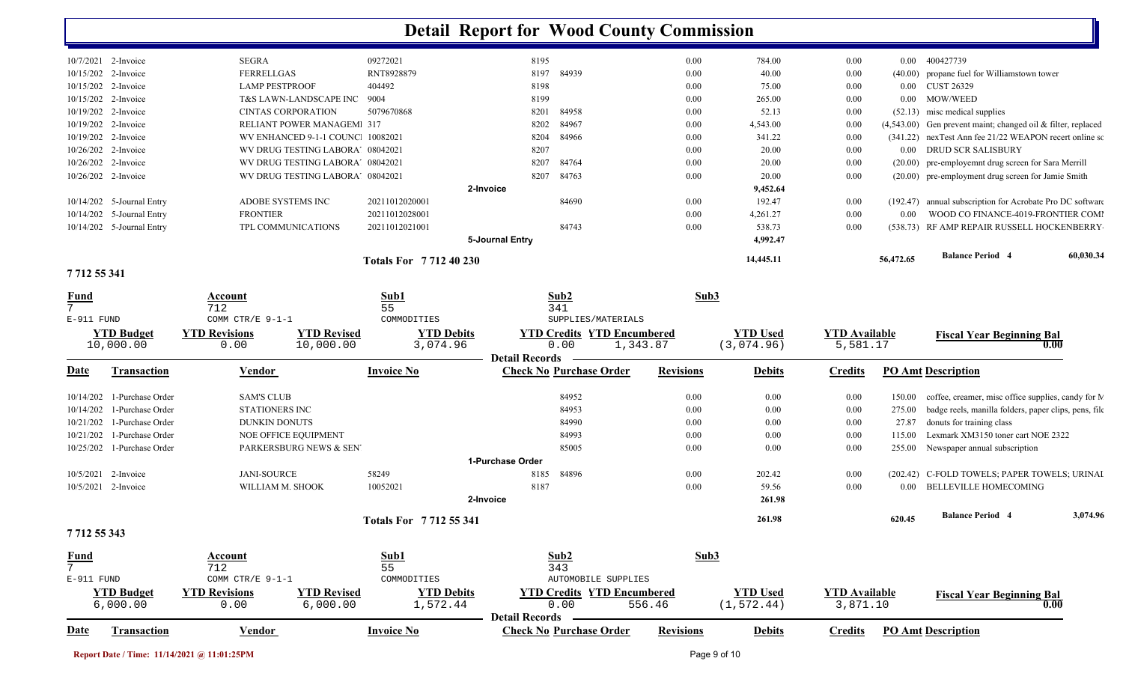| 7 712 55 341          |                             |                                  |                             |                 |       |      |           |      |           |                                                                |
|-----------------------|-----------------------------|----------------------------------|-----------------------------|-----------------|-------|------|-----------|------|-----------|----------------------------------------------------------------|
|                       |                             |                                  | <b>Totals For 771240230</b> |                 |       |      | 14,445.11 |      | 56,472.65 | <b>Balance Period 4</b><br>60,030.34                           |
|                       |                             |                                  |                             | 5-Journal Entry |       |      | 4,992.47  |      |           |                                                                |
|                       | 10/14/202 5-Journal Entry   | TPL COMMUNICATIONS               | 20211012021001              |                 | 84743 | 0.00 | 538.73    | 0.00 |           | (538.73) RF AMP REPAIR RUSSELL HOCKENBERRY                     |
|                       | 10/14/202 5-Journal Entry   | <b>FRONTIER</b>                  | 20211012028001              |                 |       | 0.00 | 4,261.27  | 0.00 | 0.00      | WOOD CO FINANCE-4019-FRONTIER COMI                             |
|                       | $10/14/202$ 5-Journal Entry | ADOBE SYSTEMS INC                | 20211012020001              |                 | 84690 | 0.00 | 192.47    | 0.00 | (192.47)  | annual subscription for Acrobate Pro DC software               |
|                       |                             |                                  |                             | 2-Invoice       |       |      | 9,452.64  |      |           |                                                                |
| 10/26/202 2-Invoice   |                             | WV DRUG TESTING LABORA' 08042021 |                             | 8207            | 84763 | 0.00 | 20.00     | 0.00 |           | (20.00) pre-employment drug screen for Jamie Smith             |
| $10/26/202$ 2-Invoice |                             | WV DRUG TESTING LABORA' 08042021 |                             | 8207            | 84764 | 0.00 | 20.00     | 0.00 |           | (20.00) pre-employemnt drug screen for Sara Merrill            |
| 10/26/202 2-Invoice   |                             | WV DRUG TESTING LABORA' 08042021 |                             | 8207            |       | 0.00 | 20.00     | 0.00 | $0.00 -$  | DRUD SCR SALISBURY                                             |
| 10/19/202 2-Invoice   |                             | WV ENHANCED 9-1-1 COUNC 10082021 |                             | 8204            | 84966 | 0.00 | 341.22    | 0.00 |           | (341.22) nexTest Ann fee 21/22 WEAPON recert online so         |
| 10/19/202 2-Invoice   |                             | <b>RELIANT POWER MANAGEM 317</b> |                             | 8202            | 84967 | 0.00 | 4,543.00  | 0.00 |           | $(4,543.00)$ Gen prevent maint; changed oil & filter, replaced |
| 10/19/202 2-Invoice   |                             | <b>CINTAS CORPORATION</b>        | 5079670868                  | 8201            | 84958 | 0.00 | 52.13     | 0.00 |           | $(52.13)$ misc medical supplies                                |
| $10/15/202$ 2-Invoice |                             | T&S LAWN-LANDSCAPE INC 9004      |                             | 8199            |       | 0.00 | 265.00    | 0.00 | $0.00 -$  | MOW/WEED                                                       |
| $10/15/202$ 2-Invoice |                             | LAMP PESTPROOF                   | 404492                      | 8198            |       | 0.00 | 75.00     | 0.00 |           | 0.00 CUST 26329                                                |
| 10/15/202 2-Invoice   |                             | <b>FERRELLGAS</b>                | RNT8928879                  | 8197            | 84939 | 0.00 | 40.00     | 0.00 |           | (40.00) propane fuel for Williamstown tower                    |
| 10/7/2021 2-Invoice   |                             | <b>SEGRA</b>                     | 09272021                    | 8195            |       | 0.00 | 784.00    | 0.00 | $0.00 -$  | 400427739                                                      |

| Fund         |                     | Account               |                        | Sub1                        |                   | Sub2                              |                     | Sub3             |                 |                      |          |                                                       |          |
|--------------|---------------------|-----------------------|------------------------|-----------------------------|-------------------|-----------------------------------|---------------------|------------------|-----------------|----------------------|----------|-------------------------------------------------------|----------|
| $7^{\circ}$  |                     | 712                   |                        | 55                          |                   | 341                               |                     |                  |                 |                      |          |                                                       |          |
| E-911 FUND   |                     | COMM CTR/E 9-1-1      |                        | COMMODITIES                 |                   |                                   | SUPPLIES/MATERIALS  |                  |                 |                      |          |                                                       |          |
|              | <b>YTD Budget</b>   | <b>YTD Revisions</b>  | <b>YTD Revised</b>     |                             | <b>YTD Debits</b> | <b>YTD Credits YTD Encumbered</b> |                     |                  | <b>YTD Used</b> | <b>YTD Available</b> |          | <b>Fiscal Year Beginning Bal</b>                      |          |
|              | 10,000.00           | 0.00                  | 10,000.00              | 3,074.96                    |                   | 0.00                              | 1,343.87            |                  | (3,074.96)      | 5,581.17             |          |                                                       | 0.00     |
|              |                     |                       |                        |                             |                   | <b>Detail Records</b>             |                     |                  |                 |                      |          |                                                       |          |
| <b>Date</b>  | Transaction         | Vendor                |                        | <b>Invoice No</b>           |                   | <b>Check No Purchase Order</b>    |                     | <b>Revisions</b> | <b>Debits</b>   | <b>Credits</b>       |          | <b>PO Amt Description</b>                             |          |
| 10/14/202    | 1-Purchase Order    | <b>SAM'S CLUB</b>     |                        |                             |                   | 84952                             |                     | 0.00             | 0.00            | 0.00                 | 150.00   | coffee, creamer, misc office supplies, candy for M    |          |
| 10/14/202    | 1-Purchase Order    | <b>STATIONERS INC</b> |                        |                             |                   | 84953                             |                     | 0.00             | 0.00            | 0.00                 | 275.00   | badge reels, manilla folders, paper clips, pens, file |          |
| 10/21/202    | 1-Purchase Order    | DUNKIN DONUTS         |                        |                             |                   | 84990                             |                     | 0.00             | 0.00            | 0.00                 | 27.87    | donuts for training class                             |          |
| 10/21/202    | 1-Purchase Order    |                       | NOE OFFICE EQUIPMENT   |                             |                   | 84993                             |                     | 0.00             | 0.00            | 0.00                 | 115.00   | Lexmark XM3150 toner cart NOE 2322                    |          |
| 10/25/202    | 1-Purchase Order    |                       | PARKERSBURG NEWS & SEN |                             |                   | 85005                             |                     | 0.00             | 0.00            | 0.00                 | 255.00   | Newspaper annual subscription                         |          |
|              |                     |                       |                        |                             | 1-Purchase Order  |                                   |                     |                  |                 |                      |          |                                                       |          |
|              | 10/5/2021 2-Invoice | <b>JANI-SOURCE</b>    |                        | 58249                       |                   | 84896<br>8185                     |                     | 0.00             | 202.42          | 0.00                 |          | (202.42) C-FOLD TOWELS; PAPER TOWELS; URINAI          |          |
|              | 10/5/2021 2-Invoice | WILLIAM M. SHOOK      |                        | 10052021                    |                   | 8187                              |                     | 0.00             | 59.56           | 0.00                 | $0.00\,$ | <b>BELLEVILLE HOMECOMING</b>                          |          |
|              |                     |                       |                        |                             | 2-Invoice         |                                   |                     |                  | 261.98          |                      |          |                                                       |          |
|              |                     |                       |                        | <b>Totals For 771255341</b> |                   |                                   |                     |                  | 261.98          |                      | 620.45   | <b>Balance Period 4</b>                               | 3,074.96 |
| 771255343    |                     |                       |                        |                             |                   |                                   |                     |                  |                 |                      |          |                                                       |          |
| <b>Fund</b>  |                     | Account               |                        | Sub1                        |                   | Sub2                              |                     | Sub3             |                 |                      |          |                                                       |          |
| $7^{\circ}$  |                     | 712                   |                        | 55                          |                   | 343                               |                     |                  |                 |                      |          |                                                       |          |
| $E-911$ FUND |                     | COMM CTR/E 9-1-1      |                        | COMMODITIES                 |                   |                                   | AUTOMOBILE SUPPLIES |                  |                 |                      |          |                                                       |          |

| L-JII FUND |                    | COMM CIR/E J-I-I     |                         | CUMMUDIIILO       |                                | RUIUMUBILE SUPPLIES               |                 |                      |                                  |
|------------|--------------------|----------------------|-------------------------|-------------------|--------------------------------|-----------------------------------|-----------------|----------------------|----------------------------------|
|            | <b>YTD Budget</b>  | <b>VTD Revisions</b> | <sup>V</sup> TD Revised | <b>VTD Debits</b> |                                | <b>YTD Credits YTD Encumbered</b> | <b>YTD Used</b> | <b>YTD Available</b> | <b>Fiscal Year Beginning Bal</b> |
|            | $\sqrt{000.00}$    | 0.00                 | ,000.00                 | ,572.44           | 0.00                           | 556.46                            | 1.572.44'       | 871.10 ، د           |                                  |
|            |                    |                      |                         |                   | <b>Detail Records</b>          |                                   |                 |                      |                                  |
| Date       | <b>Transaction</b> | <u>/endor</u>        |                         | <b>Invoice No</b> | <b>Check No Purchase Order</b> | <b>Revisions</b>                  | <b>Debits</b>   | <b>Predits</b>       | <b>PO Amt Description</b>        |